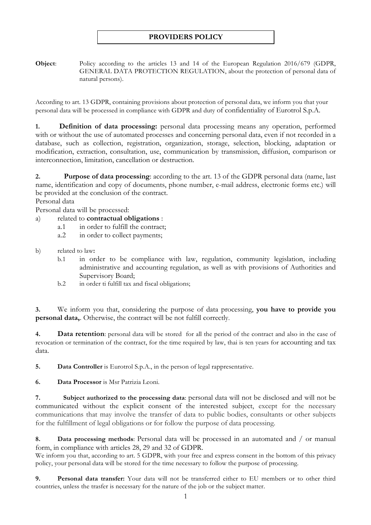#### **PROVIDERS POLICY**

**Object**: Policy according to the articles 13 and 14 of the European Regulation 2016/679 (GDPR, GENERAL DATA PROTECTION REGULATION, about the protection of personal data of natural persons).

According to art. 13 GDPR, containing provisions about protection of personal data, we inform you that your personal data will be processed in compliance with GDPR and duty of confidentiality of Eurotrol S.p.A.

**1. Definition of data processing:** personal data processing means any operation, performed with or without the use of automated processes and concerning personal data, even if not recorded in a database, such as collection, registration, organization, storage, selection, blocking, adaptation or modification, extraction, consultation, use, communication by transmission, diffusion, comparison or interconnection, limitation, cancellation or destruction.

**2. Purpose of data processing**: according to the art. 13 of the GDPR personal data (name, last name, identification and copy of documents, phone number, e-mail address, electronic forms etc.) will be provided at the conclusion of the contract.

Personal data

Personal data will be processed:

- a) related to **contractual obligations** :
	- a.1 in order to fulfill the contract;
	- a.2 in order to collect payments;
- b) related to law**:**
	- b.1 in order to be compliance with law, regulation, community legislation, including administrative and accounting regulation, as well as with provisions of Authorities and Supervisory Board;
	- b.2 in order ti fulfill tax and fiscal obligations;

**3.** We inform you that, considering the purpose of data processing, **you have to provide you personal data,**. Otherwise, the contract will be not fulfill correctly.

**4. Data retention**: personal data will be stored for all the period of the contract and also in the case of revocation or termination of the contract, for the time required by law, thai is ten years for accounting and tax data.

**5. Data Controller** is Eurotrol S.p.A., in the person of legal rappresentative.

**6. Data Processor** is Msr Patrizia Leoni.

**7. Subject authorized to the processing data**: personal data will not be disclosed and will not be communicated without the explicit consent of the interested subject, except for the necessary communications that may involve the transfer of data to public bodies, consultants or other subjects for the fulfillment of legal obligations or for follow the purpose of data processing.

**8. Data processing methods**: Personal data will be processed in an automated and / or manual form, in compliance with articles 28, 29 and 32 of GDPR.

We inform you that, according to art. 5 GDPR, with your free and express consent in the bottom of this privacy policy, your personal data will be stored for the time necessary to follow the purpose of processing.

**9. Personal data transfer:** Your data will not be transferred either to EU members or to other third countries, unless the trasfer is necessary for the nature of the job or the subject matter.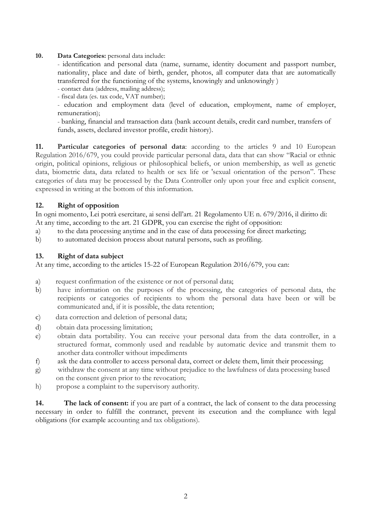## 10. **Data Categories:** personal data include:

- identification and personal data (name, surname, identity document and passport number, nationality, place and date of birth, gender, photos, all computer data that are automatically transferred for the functioning of the systems, knowingly and unknowingly )

- contact data (address, mailing address);

- fiscal data (es. tax code, VAT number);

- education and employment data (level of education, employment, name of employer, remuneration);

- banking, financial and transaction data (bank account details, credit card number, transfers of funds, assets, declared investor profile, credit history).

**11. Particular categories of personal data**: according to the articles 9 and 10 European Regulation 2016/679, you could provide particular personal data, data that can show "Racial or ethnic origin, political opinions, religious or philosophical beliefs, or union membership, as well as genetic data, biometric data, data related to health or sex life or 'sexual orientation of the person". These categories of data may be processed by the Data Controller only upon your free and explicit consent, expressed in writing at the bottom of this information.

# **12. Right of opposition**

In ogni momento, Lei potrà esercitare, ai sensi dell'art. 21 Regolamento UE n. 679/2016, il diritto di: At any time, according to the art. 21 GDPR, you can exercise the right of opposition:

- a) to the data processing anytime and in the case of data processing for direct marketing;
- b) to automated decision process about natural persons, such as profiling.

## **13. Right of data subject**

At any time, according to the articles 15-22 of European Regulation 2016/679, you can:

- a) request confirmation of the existence or not of personal data;
- b) have information on the purposes of the processing, the categories of personal data, the recipients or categories of recipients to whom the personal data have been or will be communicated and, if it is possible, the data retention;
- c) data correction and deletion of personal data;
- d) obtain data processing limitation;
- e) obtain data portability. You can receive your personal data from the data controller, in a structured format, commonly used and readable by automatic device and transmit them to another data controller without impediments
- f) ask the data controller to access personal data, correct or delete them, limit their processing;
- g) withdraw the consent at any time without prejudice to the lawfulness of data processing based on the consent given prior to the revocation;
- h) propose a complaint to the supervisory authority.

**14. The lack of consent:** if you are part of a contract, the lack of consent to the data processing necessary in order to fulfill the contranct, prevent its execution and the compliance with legal obligations (for example accounting and tax obligations).